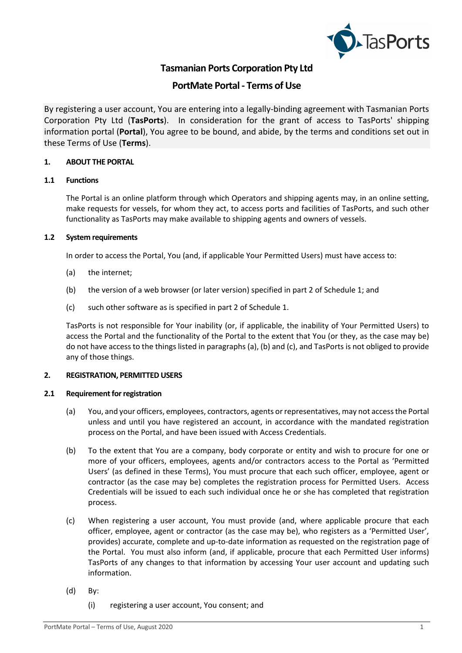

# **Tasmanian Ports Corporation Pty Ltd**

# **PortMate Portal - Terms of Use**

By registering a user account, You are entering into a legally-binding agreement with Tasmanian Ports Corporation Pty Ltd (**TasPorts**). In consideration for the grant of access to TasPorts' shipping information portal (**Portal**), You agree to be bound, and abide, by the terms and conditions set out in these Terms of Use (**Terms**).

# **1. ABOUT THE PORTAL**

# **1.1 Functions**

The Portal is an online platform through which Operators and shipping agents may, in an online setting, make requests for vessels, for whom they act, to access ports and facilities of TasPorts, and such other functionality as TasPorts may make available to shipping agents and owners of vessels.

# **1.2 System requirements**

In order to access the Portal, You (and, if applicable Your Permitted Users) must have access to:

- (a) the internet;
- (b) the version of a web browser (or later version) specified in part 2 of Schedule 1; and
- (c) such other software as is specified in part 2 of Schedule 1.

TasPorts is not responsible for Your inability (or, if applicable, the inability of Your Permitted Users) to access the Portal and the functionality of the Portal to the extent that You (or they, as the case may be) do not have access to the things listed in paragraphs (a), (b) and (c), and TasPorts is not obliged to provide any of those things.

# **2. REGISTRATION, PERMITTED USERS**

# **2.1 Requirement for registration**

- (a) You, and your officers, employees, contractors, agents or representatives, may not access the Portal unless and until you have registered an account, in accordance with the mandated registration process on the Portal, and have been issued with Access Credentials.
- (b) To the extent that You are a company, body corporate or entity and wish to procure for one or more of your officers, employees, agents and/or contractors access to the Portal as 'Permitted Users' (as defined in these Terms), You must procure that each such officer, employee, agent or contractor (as the case may be) completes the registration process for Permitted Users. Access Credentials will be issued to each such individual once he or she has completed that registration process.
- (c) When registering a user account, You must provide (and, where applicable procure that each officer, employee, agent or contractor (as the case may be), who registers as a 'Permitted User', provides) accurate, complete and up-to-date information as requested on the registration page of the Portal. You must also inform (and, if applicable, procure that each Permitted User informs) TasPorts of any changes to that information by accessing Your user account and updating such information.
- (d) By:
	- (i) registering a user account, You consent; and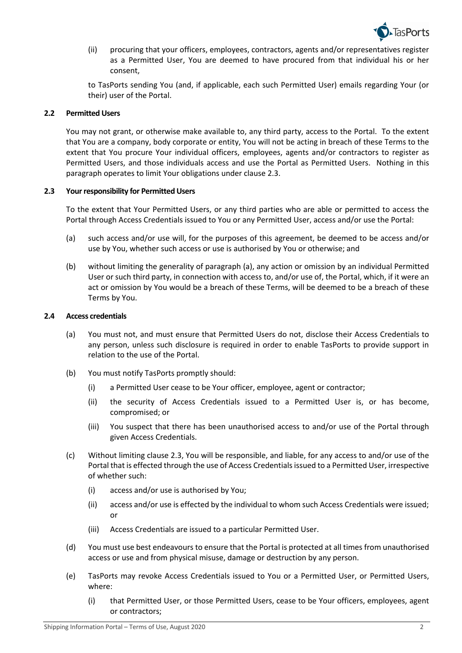

(ii) procuring that your officers, employees, contractors, agents and/or representatives register as a Permitted User, You are deemed to have procured from that individual his or her consent,

to TasPorts sending You (and, if applicable, each such Permitted User) emails regarding Your (or their) user of the Portal.

# **2.2 Permitted Users**

You may not grant, or otherwise make available to, any third party, access to the Portal. To the extent that You are a company, body corporate or entity, You will not be acting in breach of these Terms to the extent that You procure Your individual officers, employees, agents and/or contractors to register as Permitted Users, and those individuals access and use the Portal as Permitted Users. Nothing in this paragraph operates to limit Your obligations under clause 2.3.

# **2.3 Your responsibility for Permitted Users**

To the extent that Your Permitted Users, or any third parties who are able or permitted to access the Portal through Access Credentials issued to You or any Permitted User, access and/or use the Portal:

- (a) such access and/or use will, for the purposes of this agreement, be deemed to be access and/or use by You, whether such access or use is authorised by You or otherwise; and
- (b) without limiting the generality of paragraph (a), any action or omission by an individual Permitted User or such third party, in connection with access to, and/or use of, the Portal, which, if it were an act or omission by You would be a breach of these Terms, will be deemed to be a breach of these Terms by You.

# **2.4 Access credentials**

- (a) You must not, and must ensure that Permitted Users do not, disclose their Access Credentials to any person, unless such disclosure is required in order to enable TasPorts to provide support in relation to the use of the Portal.
- (b) You must notify TasPorts promptly should:
	- (i) a Permitted User cease to be Your officer, employee, agent or contractor;
	- (ii) the security of Access Credentials issued to a Permitted User is, or has become, compromised; or
	- (iii) You suspect that there has been unauthorised access to and/or use of the Portal through given Access Credentials.
- (c) Without limiting clause 2.3, You will be responsible, and liable, for any access to and/or use of the Portal that is effected through the use of Access Credentials issued to a Permitted User, irrespective of whether such:
	- (i) access and/or use is authorised by You;
	- (ii) access and/or use is effected by the individual to whom such Access Credentials were issued; or
	- (iii) Access Credentials are issued to a particular Permitted User.
- (d) You must use best endeavours to ensure that the Portal is protected at all times from unauthorised access or use and from physical misuse, damage or destruction by any person.
- (e) TasPorts may revoke Access Credentials issued to You or a Permitted User, or Permitted Users, where:
	- (i) that Permitted User, or those Permitted Users, cease to be Your officers, employees, agent or contractors;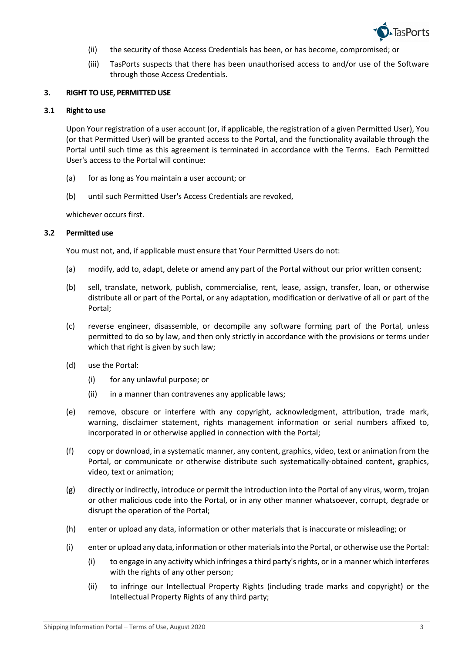

- (ii) the security of those Access Credentials has been, or has become, compromised; or
- (iii) TasPorts suspects that there has been unauthorised access to and/or use of the Software through those Access Credentials.

#### **3. RIGHT TO USE, PERMITTED USE**

#### **3.1 Right to use**

Upon Your registration of a user account (or, if applicable, the registration of a given Permitted User), You (or that Permitted User) will be granted access to the Portal, and the functionality available through the Portal until such time as this agreement is terminated in accordance with the Terms. Each Permitted User's access to the Portal will continue:

- (a) for as long as You maintain a user account; or
- (b) until such Permitted User's Access Credentials are revoked,

whichever occurs first.

## **3.2 Permitted use**

You must not, and, if applicable must ensure that Your Permitted Users do not:

- (a) modify, add to, adapt, delete or amend any part of the Portal without our prior written consent;
- (b) sell, translate, network, publish, commercialise, rent, lease, assign, transfer, loan, or otherwise distribute all or part of the Portal, or any adaptation, modification or derivative of all or part of the Portal;
- (c) reverse engineer, disassemble, or decompile any software forming part of the Portal, unless permitted to do so by law, and then only strictly in accordance with the provisions or terms under which that right is given by such law;
- (d) use the Portal:
	- (i) for any unlawful purpose; or
	- (ii) in a manner than contravenes any applicable laws;
- (e) remove, obscure or interfere with any copyright, acknowledgment, attribution, trade mark, warning, disclaimer statement, rights management information or serial numbers affixed to, incorporated in or otherwise applied in connection with the Portal;
- (f) copy or download, in a systematic manner, any content, graphics, video, text or animation from the Portal, or communicate or otherwise distribute such systematically-obtained content, graphics, video, text or animation;
- (g) directly or indirectly, introduce or permit the introduction into the Portal of any virus, worm, trojan or other malicious code into the Portal, or in any other manner whatsoever, corrupt, degrade or disrupt the operation of the Portal;
- (h) enter or upload any data, information or other materials that is inaccurate or misleading; or
- (i) enter or upload any data, information or other materialsinto the Portal, or otherwise use the Portal:
	- (i) to engage in any activity which infringes a third party's rights, or in a manner which interferes with the rights of any other person;
	- (ii) to infringe our Intellectual Property Rights (including trade marks and copyright) or the Intellectual Property Rights of any third party;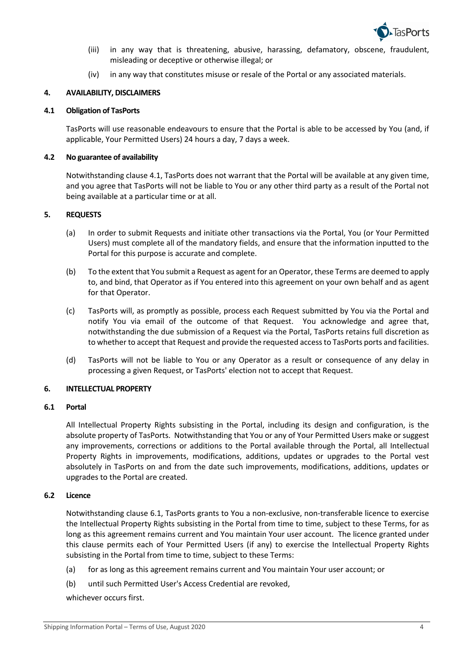

- (iii) in any way that is threatening, abusive, harassing, defamatory, obscene, fraudulent, misleading or deceptive or otherwise illegal; or
- (iv) in any way that constitutes misuse or resale of the Portal or any associated materials.

# **4. AVAILABILITY, DISCLAIMERS**

#### **4.1 Obligation of TasPorts**

TasPorts will use reasonable endeavours to ensure that the Portal is able to be accessed by You (and, if applicable, Your Permitted Users) 24 hours a day, 7 days a week.

## **4.2 No guarantee of availability**

Notwithstanding clause 4.1, TasPorts does not warrant that the Portal will be available at any given time, and you agree that TasPorts will not be liable to You or any other third party as a result of the Portal not being available at a particular time or at all.

## **5. REQUESTS**

- (a) In order to submit Requests and initiate other transactions via the Portal, You (or Your Permitted Users) must complete all of the mandatory fields, and ensure that the information inputted to the Portal for this purpose is accurate and complete.
- (b) To the extent that You submit a Request as agent for an Operator, these Terms are deemed to apply to, and bind, that Operator as if You entered into this agreement on your own behalf and as agent for that Operator.
- (c) TasPorts will, as promptly as possible, process each Request submitted by You via the Portal and notify You via email of the outcome of that Request. You acknowledge and agree that, notwithstanding the due submission of a Request via the Portal, TasPorts retains full discretion as to whether to accept that Request and provide the requested access to TasPorts ports and facilities.
- (d) TasPorts will not be liable to You or any Operator as a result or consequence of any delay in processing a given Request, or TasPorts' election not to accept that Request.

#### **6. INTELLECTUAL PROPERTY**

#### **6.1 Portal**

All Intellectual Property Rights subsisting in the Portal, including its design and configuration, is the absolute property of TasPorts. Notwithstanding that You or any of Your Permitted Users make or suggest any improvements, corrections or additions to the Portal available through the Portal, all Intellectual Property Rights in improvements, modifications, additions, updates or upgrades to the Portal vest absolutely in TasPorts on and from the date such improvements, modifications, additions, updates or upgrades to the Portal are created.

#### **6.2 Licence**

Notwithstanding clause 6.1, TasPorts grants to You a non-exclusive, non-transferable licence to exercise the Intellectual Property Rights subsisting in the Portal from time to time, subject to these Terms, for as long as this agreement remains current and You maintain Your user account. The licence granted under this clause permits each of Your Permitted Users (if any) to exercise the Intellectual Property Rights subsisting in the Portal from time to time, subject to these Terms:

- (a) for as long as this agreement remains current and You maintain Your user account; or
- (b) until such Permitted User's Access Credential are revoked,

whichever occurs first.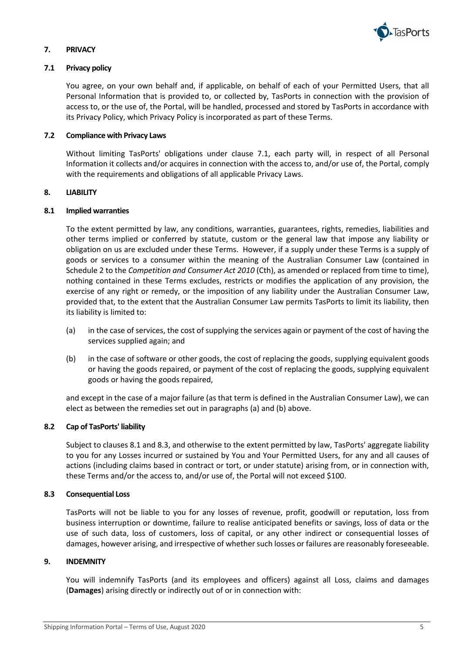

# **7. PRIVACY**

# **7.1 Privacy policy**

You agree, on your own behalf and, if applicable, on behalf of each of your Permitted Users, that all Personal Information that is provided to, or collected by, TasPorts in connection with the provision of access to, or the use of, the Portal, will be handled, processed and stored by TasPorts in accordance with its Privacy Policy, which Privacy Policy is incorporated as part of these Terms.

# **7.2 Compliance with Privacy Laws**

Without limiting TasPorts' obligations under clause 7.1, each party will, in respect of all Personal Information it collects and/or acquires in connection with the access to, and/or use of, the Portal, comply with the requirements and obligations of all applicable Privacy Laws.

#### **8. LIABILITY**

## **8.1 Implied warranties**

To the extent permitted by law, any conditions, warranties, guarantees, rights, remedies, liabilities and other terms implied or conferred by statute, custom or the general law that impose any liability or obligation on us are excluded under these Terms. However, if a supply under these Terms is a supply of goods or services to a consumer within the meaning of the Australian Consumer Law (contained in Schedule 2 to the *Competition and Consumer Act 2010* (Cth), as amended or replaced from time to time), nothing contained in these Terms excludes, restricts or modifies the application of any provision, the exercise of any right or remedy, or the imposition of any liability under the Australian Consumer Law, provided that, to the extent that the Australian Consumer Law permits TasPorts to limit its liability, then its liability is limited to:

- (a) in the case of services, the cost of supplying the services again or payment of the cost of having the services supplied again; and
- (b) in the case of software or other goods, the cost of replacing the goods, supplying equivalent goods or having the goods repaired, or payment of the cost of replacing the goods, supplying equivalent goods or having the goods repaired,

and except in the case of a major failure (as that term is defined in the Australian Consumer Law), we can elect as between the remedies set out in paragraphs (a) and (b) above.

# **8.2 Cap of TasPorts' liability**

Subject to clauses 8.1 and 8.3, and otherwise to the extent permitted by law, TasPorts' aggregate liability to you for any Losses incurred or sustained by You and Your Permitted Users, for any and all causes of actions (including claims based in contract or tort, or under statute) arising from, or in connection with, these Terms and/or the access to, and/or use of, the Portal will not exceed \$100.

#### **8.3 Consequential Loss**

TasPorts will not be liable to you for any losses of revenue, profit, goodwill or reputation, loss from business interruption or downtime, failure to realise anticipated benefits or savings, loss of data or the use of such data, loss of customers, loss of capital, or any other indirect or consequential losses of damages, however arising, and irrespective of whether such losses or failures are reasonably foreseeable.

#### **9. INDEMNITY**

You will indemnify TasPorts (and its employees and officers) against all Loss, claims and damages (**Damages**) arising directly or indirectly out of or in connection with: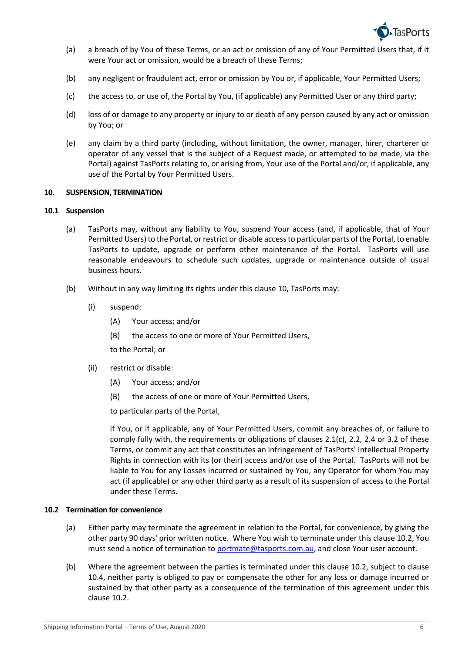

- (a) a breach of by You of these Terms, or an act or omission of any of Your Permitted Users that, if it were Your act or omission, would be a breach of these Terms;
- (b) any negligent or fraudulent act, error or omission by You or, if applicable, Your Permitted Users;
- (c) the access to, or use of, the Portal by You, (if applicable) any Permitted User or any third party;
- (d) loss of or damage to any property or injury to or death of any person caused by any act or omission by You; or
- (e) any claim by a third party (including, without limitation, the owner, manager, hirer, charterer or operator of any vessel that is the subject of a Request made, or attempted to be made, via the Portal) against TasPorts relating to, or arising from, Your use of the Portal and/or, if applicable, any use of the Portal by Your Permitted Users.

## **10. SUSPENSION, TERMINATION**

## **10.1 Suspension**

- (a) TasPorts may, without any liability to You, suspend Your access (and, if applicable, that of Your Permitted Users) to the Portal, or restrict or disable access to particular parts of the Portal, to enable TasPorts to update, upgrade or perform other maintenance of the Portal. TasPorts will use reasonable endeavours to schedule such updates, upgrade or maintenance outside of usual business hours.
- (b) Without in any way limiting its rights under this clause 10, TasPorts may:
	- (i) suspend:
		- (A) Your access; and/or
		- (B) the access to one or more of Your Permitted Users,

to the Portal; or

- (ii) restrict or disable:
	- (A) Your access; and/or
	- (B) the access of one or more of Your Permitted Users,

to particular parts of the Portal,

if You, or if applicable, any of Your Permitted Users, commit any breaches of, or failure to comply fully with, the requirements or obligations of clauses 2.1(c), 2.2, 2.4 or 3.2 of these Terms, or commit any act that constitutes an infringement of TasPorts' Intellectual Property Rights in connection with its (or their) access and/or use of the Portal. TasPorts will not be liable to You for any Losses incurred or sustained by You, any Operator for whom You may act (if applicable) or any other third party as a result of its suspension of access to the Portal under these Terms.

#### **10.2 Termination for convenience**

- (a) Either party may terminate the agreement in relation to the Portal, for convenience, by giving the other party 90 days' prior written notice. Where You wish to terminate under this clause 10.2, You must send a notice of termination to portmate@tasports.com.au, and close Your user account.
- (b) Where the agreement between the parties is terminated under this clause 10.2, subject to clause 10.4, neither party is obliged to pay or compensate the other for any loss or damage incurred or sustained by that other party as a consequence of the termination of this agreement under this clause 10.2.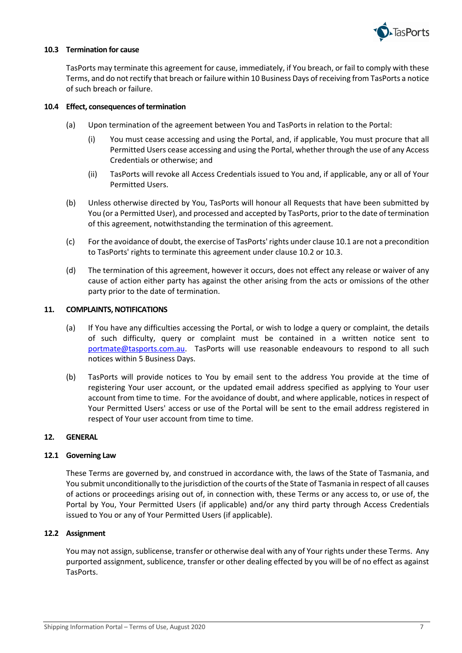

# **10.3 Termination for cause**

TasPorts may terminate this agreement for cause, immediately, if You breach, or fail to comply with these Terms, and do not rectify that breach or failure within 10 Business Days of receiving from TasPorts a notice of such breach or failure.

## **10.4 Effect, consequences of termination**

- (a) Upon termination of the agreement between You and TasPorts in relation to the Portal:
	- (i) You must cease accessing and using the Portal, and, if applicable, You must procure that all Permitted Users cease accessing and using the Portal, whether through the use of any Access Credentials or otherwise; and
	- (ii) TasPorts will revoke all Access Credentials issued to You and, if applicable, any or all of Your Permitted Users.
- (b) Unless otherwise directed by You, TasPorts will honour all Requests that have been submitted by You (or a Permitted User), and processed and accepted by TasPorts, prior to the date of termination of this agreement, notwithstanding the termination of this agreement.
- (c) For the avoidance of doubt, the exercise of TasPorts' rights under clause 10.1 are not a precondition to TasPorts' rights to terminate this agreement under clause 10.2 or 10.3.
- (d) The termination of this agreement, however it occurs, does not effect any release or waiver of any cause of action either party has against the other arising from the acts or omissions of the other party prior to the date of termination.

## **11. COMPLAINTS, NOTIFICATIONS**

- (a) If You have any difficulties accessing the Portal, or wish to lodge a query or complaint, the details of such difficulty, query or complaint must be contained in a written notice sent to portmate@tasports.com.au. TasPorts will use reasonable endeavours to respond to all such notices within 5 Business Days.
- (b) TasPorts will provide notices to You by email sent to the address You provide at the time of registering Your user account, or the updated email address specified as applying to Your user account from time to time. For the avoidance of doubt, and where applicable, notices in respect of Your Permitted Users' access or use of the Portal will be sent to the email address registered in respect of Your user account from time to time.

# **12. GENERAL**

# **12.1 Governing Law**

These Terms are governed by, and construed in accordance with, the laws of the State of Tasmania, and You submit unconditionally to the jurisdiction of the courts of the State of Tasmania in respect of all causes of actions or proceedings arising out of, in connection with, these Terms or any access to, or use of, the Portal by You, Your Permitted Users (if applicable) and/or any third party through Access Credentials issued to You or any of Your Permitted Users (if applicable).

# **12.2 Assignment**

You may not assign, sublicense, transfer or otherwise deal with any of Your rights under these Terms. Any purported assignment, sublicence, transfer or other dealing effected by you will be of no effect as against TasPorts.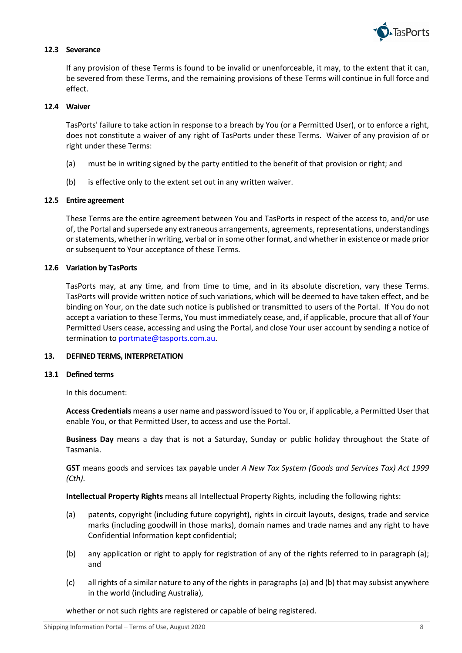

# **12.3 Severance**

If any provision of these Terms is found to be invalid or unenforceable, it may, to the extent that it can, be severed from these Terms, and the remaining provisions of these Terms will continue in full force and effect.

# **12.4 Waiver**

TasPorts' failure to take action in response to a breach by You (or a Permitted User), or to enforce a right, does not constitute a waiver of any right of TasPorts under these Terms. Waiver of any provision of or right under these Terms:

- (a) must be in writing signed by the party entitled to the benefit of that provision or right; and
- (b) is effective only to the extent set out in any written waiver.

## **12.5 Entire agreement**

These Terms are the entire agreement between You and TasPorts in respect of the access to, and/or use of, the Portal and supersede any extraneous arrangements, agreements, representations, understandings or statements, whether in writing, verbal or in some other format, and whether in existence or made prior or subsequent to Your acceptance of these Terms.

## **12.6 Variation by TasPorts**

TasPorts may, at any time, and from time to time, and in its absolute discretion, vary these Terms. TasPorts will provide written notice of such variations, which will be deemed to have taken effect, and be binding on Your, on the date such notice is published or transmitted to users of the Portal. If You do not accept a variation to these Terms, You must immediately cease, and, if applicable, procure that all of Your Permitted Users cease, accessing and using the Portal, and close Your user account by sending a notice of termination to portmate@tasports.com.au.

#### **13. DEFINED TERMS, INTERPRETATION**

#### **13.1 Defined terms**

In this document:

**Access Credentials** means a user name and password issued to You or, if applicable, a Permitted User that enable You, or that Permitted User, to access and use the Portal.

**Business Day** means a day that is not a Saturday, Sunday or public holiday throughout the State of Tasmania.

**GST** means goods and services tax payable under *A New Tax System (Goods and Services Tax) Act 1999 (Cth)*.

**Intellectual Property Rights** means all Intellectual Property Rights, including the following rights:

- (a) patents, copyright (including future copyright), rights in circuit layouts, designs, trade and service marks (including goodwill in those marks), domain names and trade names and any right to have Confidential Information kept confidential;
- (b) any application or right to apply for registration of any of the rights referred to in paragraph (a); and
- (c) all rights of a similar nature to any of the rights in paragraphs (a) and (b) that may subsist anywhere in the world (including Australia),

whether or not such rights are registered or capable of being registered.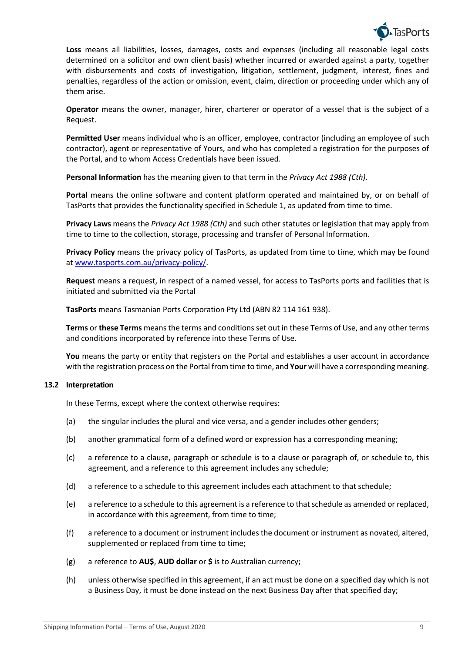

**Loss** means all liabilities, losses, damages, costs and expenses (including all reasonable legal costs determined on a solicitor and own client basis) whether incurred or awarded against a party, together with disbursements and costs of investigation, litigation, settlement, judgment, interest, fines and penalties, regardless of the action or omission, event, claim, direction or proceeding under which any of them arise.

**Operator** means the owner, manager, hirer, charterer or operator of a vessel that is the subject of a Request.

**Permitted User** means individual who is an officer, employee, contractor (including an employee of such contractor), agent or representative of Yours, and who has completed a registration for the purposes of the Portal, and to whom Access Credentials have been issued.

**Personal Information** has the meaning given to that term in the *Privacy Act 1988 (Cth)*.

**Portal** means the online software and content platform operated and maintained by, or on behalf of TasPorts that provides the functionality specified in Schedule 1, as updated from time to time.

**Privacy Laws** means the *Privacy Act 1988 (Cth)* and such other statutes or legislation that may apply from time to time to the collection, storage, processing and transfer of Personal Information.

**Privacy Policy** means the privacy policy of TasPorts, as updated from time to time, which may be found at www.tasports.com.au/privacy-policy/.

**Request** means a request, in respect of a named vessel, for access to TasPorts ports and facilities that is initiated and submitted via the Portal

**TasPorts** means Tasmanian Ports Corporation Pty Ltd (ABN 82 114 161 938).

**Terms** or **these Terms** means the terms and conditions set out in these Terms of Use, and any other terms and conditions incorporated by reference into these Terms of Use.

**You** means the party or entity that registers on the Portal and establishes a user account in accordance with the registration process on the Portal from time to time, and **Your** will have a corresponding meaning.

# **13.2 Interpretation**

In these Terms, except where the context otherwise requires:

- (a) the singular includes the plural and vice versa, and a gender includes other genders;
- (b) another grammatical form of a defined word or expression has a corresponding meaning;
- (c) a reference to a clause, paragraph or schedule is to a clause or paragraph of, or schedule to, this agreement, and a reference to this agreement includes any schedule;
- (d) a reference to a schedule to this agreement includes each attachment to that schedule;
- (e) a reference to a schedule to this agreement is a reference to that schedule as amended or replaced, in accordance with this agreement, from time to time;
- (f) a reference to a document or instrument includes the document or instrument as novated, altered, supplemented or replaced from time to time;
- (g) a reference to **AU\$**, **AUD dollar** or **\$** is to Australian currency;
- (h) unless otherwise specified in this agreement, if an act must be done on a specified day which is not a Business Day, it must be done instead on the next Business Day after that specified day;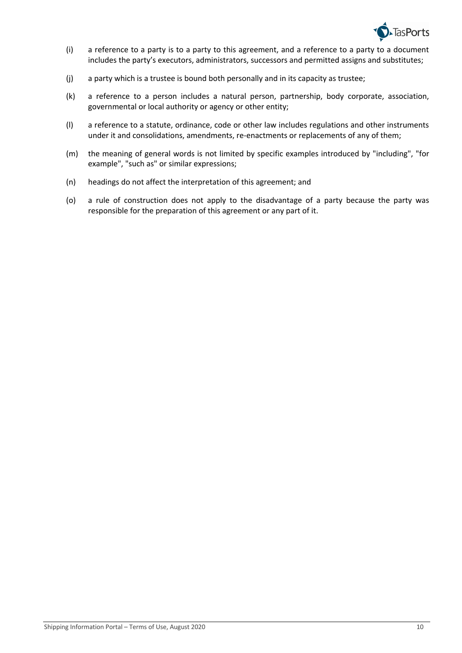

- (i) a reference to a party is to a party to this agreement, and a reference to a party to a document includes the party's executors, administrators, successors and permitted assigns and substitutes;
- (j) a party which is a trustee is bound both personally and in its capacity as trustee;
- (k) a reference to a person includes a natural person, partnership, body corporate, association, governmental or local authority or agency or other entity;
- (l) a reference to a statute, ordinance, code or other law includes regulations and other instruments under it and consolidations, amendments, re-enactments or replacements of any of them;
- (m) the meaning of general words is not limited by specific examples introduced by "including", "for example", "such as" or similar expressions;
- (n) headings do not affect the interpretation of this agreement; and
- (o) a rule of construction does not apply to the disadvantage of a party because the party was responsible for the preparation of this agreement or any part of it.